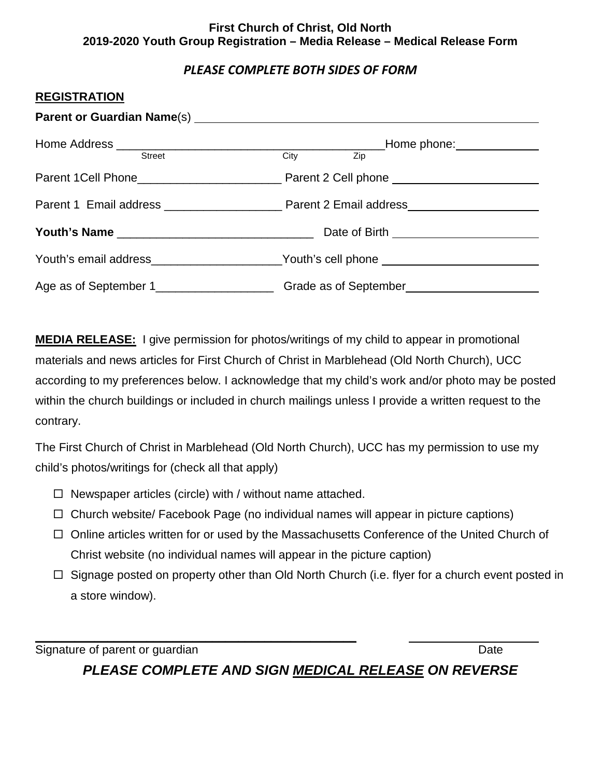#### **First Church of Christ, Old North 2019-2020 Youth Group Registration – Media Release – Medical Release Form**

# *PLEASE COMPLETE BOTH SIDES OF FORM*

#### **REGISTRATION**

| Parent or Guardian Name(s) Manual Communication Control of Care and Communication Control of Care and Communication |                                                                                  |  |
|---------------------------------------------------------------------------------------------------------------------|----------------------------------------------------------------------------------|--|
|                                                                                                                     |                                                                                  |  |
| Street                                                                                                              | City Zip                                                                         |  |
|                                                                                                                     |                                                                                  |  |
|                                                                                                                     |                                                                                  |  |
|                                                                                                                     | Date of Birth _________________________                                          |  |
|                                                                                                                     | Youth's email address______________________Youth's cell phone __________________ |  |
|                                                                                                                     |                                                                                  |  |

**MEDIA RELEASE:** I give permission for photos/writings of my child to appear in promotional materials and news articles for First Church of Christ in Marblehead (Old North Church), UCC according to my preferences below. I acknowledge that my child's work and/or photo may be posted within the church buildings or included in church mailings unless I provide a written request to the contrary.

The First Church of Christ in Marblehead (Old North Church), UCC has my permission to use my child's photos/writings for (check all that apply)

- $\Box$  Newspaper articles (circle) with / without name attached.
- $\Box$  Church website/ Facebook Page (no individual names will appear in picture captions)
- $\Box$  Online articles written for or used by the Massachusetts Conference of the United Church of Christ website (no individual names will appear in the picture caption)
- $\Box$  Signage posted on property other than Old North Church (i.e. flyer for a church event posted in a store window).

**\_\_\_\_\_\_\_\_\_\_\_\_\_\_\_\_\_\_\_\_\_\_\_\_\_\_\_\_\_\_\_\_\_\_\_\_\_\_\_\_\_\_\_\_\_\_\_\_\_**  Signature of parent or guardian Date Controllery and Date Date Date

*PLEASE COMPLETE AND SIGN MEDICAL RELEASE ON REVERSE*